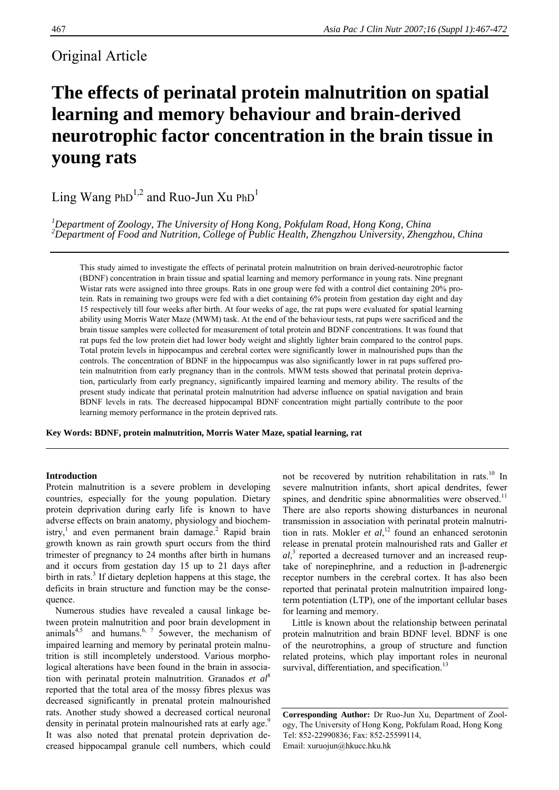# Original Article

# **The effects of perinatal protein malnutrition on spatial learning and memory behaviour and brain-derived neurotrophic factor concentration in the brain tissue in young rats**

Ling Wang PhD<sup>1,2</sup> and Ruo-Jun Xu PhD<sup>1</sup>

*1 Department of Zoology, The University of Hong Kong, Pokfulam Road, Hong Kong, China 2 Department of Food and Nutrition, College of Public Health, Zhengzhou University, Zhengzhou, China* 

This study aimed to investigate the effects of perinatal protein malnutrition on brain derived-neurotrophic factor (BDNF) concentration in brain tissue and spatial learning and memory performance in young rats. Nine pregnant Wistar rats were assigned into three groups. Rats in one group were fed with a control diet containing 20% protein. Rats in remaining two groups were fed with a diet containing 6% protein from gestation day eight and day 15 respectively till four weeks after birth. At four weeks of age, the rat pups were evaluated for spatial learning ability using Morris Water Maze (MWM) task. At the end of the behaviour tests, rat pups were sacrificed and the brain tissue samples were collected for measurement of total protein and BDNF concentrations. It was found that rat pups fed the low protein diet had lower body weight and slightly lighter brain compared to the control pups. Total protein levels in hippocampus and cerebral cortex were significantly lower in malnourished pups than the controls. The concentration of BDNF in the hippocampus was also significantly lower in rat pups suffered protein malnutrition from early pregnancy than in the controls. MWM tests showed that perinatal protein deprivation, particularly from early pregnancy, significantly impaired learning and memory ability. The results of the present study indicate that perinatal protein malnutrition had adverse influence on spatial navigation and brain BDNF levels in rats. The decreased hippocampal BDNF concentration might partially contribute to the poor learning memory performance in the protein deprived rats.

**Key Words: BDNF, protein malnutrition, Morris Water Maze, spatial learning, rat** 

# **Introduction**

Protein malnutrition is a severe problem in developing countries, especially for the young population. Dietary protein deprivation during early life is known to have adverse effects on brain anatomy, physiology and biochemistry,<sup>1</sup> and even permanent brain damage.<sup>2</sup> Rapid brain growth known as rain growth spurt occurs from the third trimester of pregnancy to 24 months after birth in humans and it occurs from gestation day 15 up to 21 days after birth in rats.<sup>3</sup> If dietary depletion happens at this stage, the deficits in brain structure and function may be the consequence.

 Numerous studies have revealed a causal linkage between protein malnutrition and poor brain development in animals<sup>4,5</sup> and humans.<sup>6, 7</sup> 5owever, the mechanism of impaired learning and memory by perinatal protein malnutrition is still incompletely understood. Various morphological alterations have been found in the brain in association with perinatal protein malnutrition. Granados *et al*<sup>8</sup> reported that the total area of the mossy fibres plexus was decreased significantly in prenatal protein malnourished rats. Another study showed a decreased cortical neuronal density in perinatal protein malnourished rats at early age.<sup>9</sup> It was also noted that prenatal protein deprivation decreased hippocampal granule cell numbers, which could

not be recovered by nutrition rehabilitation in rats.<sup>10</sup> In severe malnutrition infants, short apical dendrites, fewer spines, and dendritic spine abnormalities were observed.<sup>11</sup> There are also reports showing disturbances in neuronal transmission in association with perinatal protein malnutrition in rats. Mokler *et al*, 12 found an enhanced serotonin release in prenatal protein malnourished rats and Galler *et al*, 3 reported a decreased turnover and an increased reuptake of norepinephrine, and a reduction in β-adrenergic receptor numbers in the cerebral cortex. It has also been reported that perinatal protein malnutrition impaired longterm potentiation (LTP), one of the important cellular bases for learning and memory.

 Little is known about the relationship between perinatal protein malnutrition and brain BDNF level. BDNF is one of the neurotrophins, a group of structure and function related proteins, which play important roles in neuronal survival, differentiation, and specification.<sup>13</sup>

**Corresponding Author:** Dr Ruo-Jun Xu, Department of Zoology, The University of Hong Kong, Pokfulam Road, Hong Kong Tel: 852-22990836; Fax: 852-25599114, Email: xuruojun@hkucc.hku.hk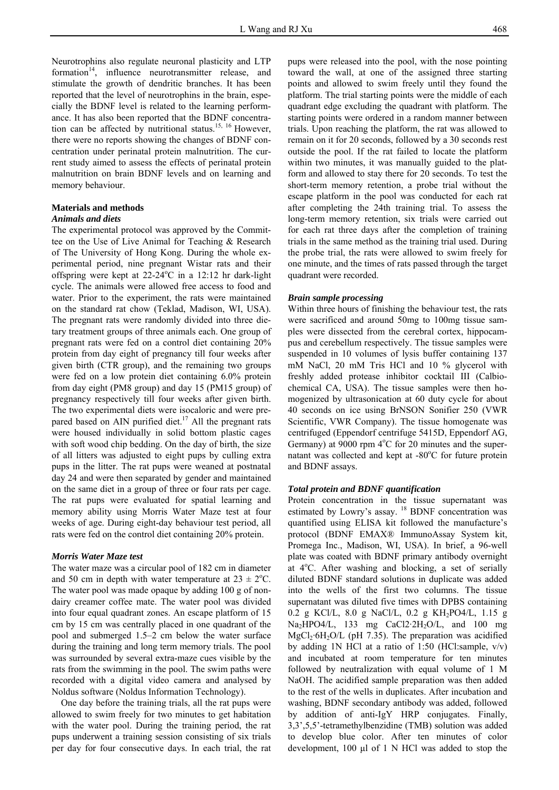Neurotrophins also regulate neuronal plasticity and LTP formation $14$ , influence neurotransmitter release, and stimulate the growth of dendritic branches. It has been reported that the level of neurotrophins in the brain, especially the BDNF level is related to the learning performance. It has also been reported that the BDNF concentration can be affected by nutritional status.<sup>15, 16</sup> However, there were no reports showing the changes of BDNF concentration under perinatal protein malnutrition. The current study aimed to assess the effects of perinatal protein malnutrition on brain BDNF levels and on learning and memory behaviour.

## **Materials and methods**

# *Animals and diets*

The experimental protocol was approved by the Committee on the Use of Live Animal for Teaching & Research of The University of Hong Kong. During the whole experimental period, nine pregnant Wistar rats and their offspring were kept at  $22-24^{\circ}$ C in a 12:12 hr dark-light cycle. The animals were allowed free access to food and water. Prior to the experiment, the rats were maintained on the standard rat chow (Teklad, Madison, WI, USA). The pregnant rats were randomly divided into three dietary treatment groups of three animals each. One group of pregnant rats were fed on a control diet containing 20% protein from day eight of pregnancy till four weeks after given birth (CTR group), and the remaining two groups were fed on a low protein diet containing 6.0% protein from day eight (PM8 group) and day 15 (PM15 group) of pregnancy respectively till four weeks after given birth. The two experimental diets were isocaloric and were prepared based on AIN purified diet.<sup>17</sup> All the pregnant rats were housed individually in solid bottom plastic cages with soft wood chip bedding. On the day of birth, the size of all litters was adjusted to eight pups by culling extra pups in the litter. The rat pups were weaned at postnatal day 24 and were then separated by gender and maintained on the same diet in a group of three or four rats per cage. The rat pups were evaluated for spatial learning and memory ability using Morris Water Maze test at four weeks of age. During eight-day behaviour test period, all rats were fed on the control diet containing 20% protein.

#### *Morris Water Maze test*

The water maze was a circular pool of 182 cm in diameter and 50 cm in depth with water temperature at  $23 \pm 2$ °C. The water pool was made opaque by adding 100 g of nondairy creamer coffee mate. The water pool was divided into four equal quadrant zones. An escape platform of 15 cm by 15 cm was centrally placed in one quadrant of the pool and submerged 1.5–2 cm below the water surface during the training and long term memory trials. The pool was surrounded by several extra-maze cues visible by the rats from the swimming in the pool. The swim paths were recorded with a digital video camera and analysed by Noldus software (Noldus Information Technology).

 One day before the training trials, all the rat pups were allowed to swim freely for two minutes to get habitation with the water pool. During the training period, the rat pups underwent a training session consisting of six trials per day for four consecutive days. In each trial, the rat

pups were released into the pool, with the nose pointing toward the wall, at one of the assigned three starting points and allowed to swim freely until they found the platform. The trial starting points were the middle of each quadrant edge excluding the quadrant with platform. The starting points were ordered in a random manner between trials. Upon reaching the platform, the rat was allowed to remain on it for 20 seconds, followed by a 30 seconds rest outside the pool. If the rat failed to locate the platform within two minutes, it was manually guided to the platform and allowed to stay there for 20 seconds. To test the short-term memory retention, a probe trial without the escape platform in the pool was conducted for each rat after completing the 24th training trial. To assess the long-term memory retention, six trials were carried out for each rat three days after the completion of training trials in the same method as the training trial used. During the probe trial, the rats were allowed to swim freely for one minute, and the times of rats passed through the target quadrant were recorded.

#### *Brain sample processing*

Within three hours of finishing the behaviour test, the rats were sacrificed and around 50mg to 100mg tissue samples were dissected from the cerebral cortex, hippocampus and cerebellum respectively. The tissue samples were suspended in 10 volumes of lysis buffer containing 137 mM NaCl, 20 mM Tris HCl and 10 % glycerol with freshly added protease inhibitor cocktail III (Calbiochemical CA, USA). The tissue samples were then homogenized by ultrasonication at 60 duty cycle for about 40 seconds on ice using BrNSON Sonifier 250 (VWR Scientific, VWR Company). The tissue homogenate was centrifuged (Eppendorf centrifuge 5415D, Eppendorf AG, Germany) at 9000 rpm  $4^{\circ}$ C for 20 minutes and the supernatant was collected and kept at -80°C for future protein and BDNF assays.

#### *Total protein and BDNF quantification*

Protein concentration in the tissue supernatant was estimated by Lowry's assay. <sup>18</sup> BDNF concentration was quantified using ELISA kit followed the manufacture's protocol (BDNF EMAX® ImmunoAssay System kit, Promega Inc., Madison, WI, USA). In brief, a 96-well plate was coated with BDNF primary antibody overnight at 4°C. After washing and blocking, a set of serially diluted BDNF standard solutions in duplicate was added into the wells of the first two columns. The tissue supernatant was diluted five times with DPBS containing 0.2 g KCl/L, 8.0 g NaCl/L, 0.2 g KH<sub>2</sub>PO4/L, 1.15 g Na<sub>2</sub>HPO4/L, 133 mg CaCl2·2H<sub>2</sub>O/L, and 100 mg  $MgCl<sub>2</sub>·6H<sub>2</sub>O/L$  (pH 7.35). The preparation was acidified by adding 1N HCl at a ratio of 1:50 (HCl:sample,  $v/v$ ) and incubated at room temperature for ten minutes followed by neutralization with equal volume of 1 M NaOH. The acidified sample preparation was then added to the rest of the wells in duplicates. After incubation and washing, BDNF secondary antibody was added, followed by addition of anti-IgY HRP conjugates. Finally, 3,3',5,5'-tetramethylbenzidine (TMB) solution was added to develop blue color. After ten minutes of color development, 100 μl of 1 N HCl was added to stop the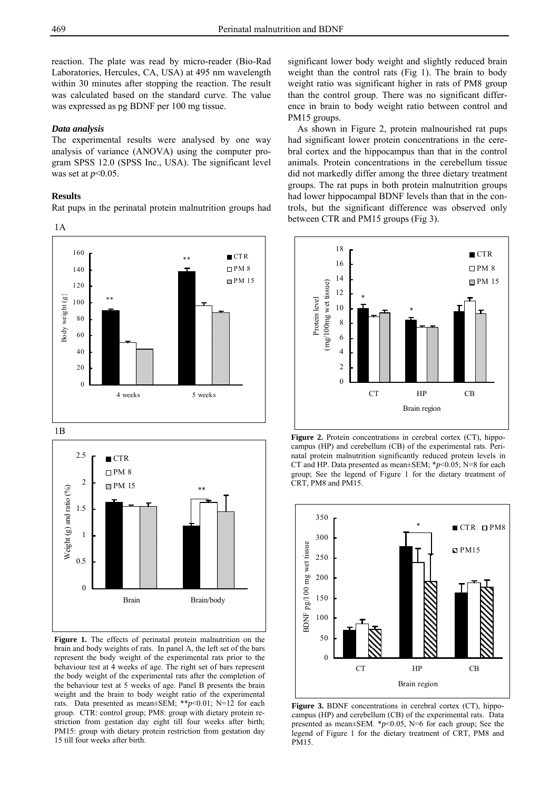reaction. The plate was read by micro-reader (Bio-Rad Laboratories, Hercules, CA, USA) at 495 nm wavelength within 30 minutes after stopping the reaction. The result was calculated based on the standard curve. The value was expressed as pg BDNF per 100 mg tissue.

#### *Data analysis*

The experimental results were analysed by one way analysis of variance (ANOVA) using the computer program SPSS 12.0 (SPSS Inc., USA). The significant level was set at *p*<0.05.

#### **Results**

Rat pups in the perinatal protein malnutrition groups had







**Figure 1.** The effects of perinatal protein malnutrition on the brain and body weights of rats. In panel A, the left set of the bars represent the body weight of the experimental rats prior to the behaviour test at 4 weeks of age. The right set of bars represent the body weight of the experimental rats after the completion of the behaviour test at 5 weeks of age. Panel B presents the brain weight and the brain to body weight ratio of the experimental rats. Data presented as mean±SEM; \*\**p*<0.01; N=12 for each group. CTR: control group; PM8: group with dietary protein restriction from gestation day eight till four weeks after birth; PM15: group with dietary protein restriction from gestation day 15 till four weeks after birth.

significant lower body weight and slightly reduced brain weight than the control rats (Fig 1). The brain to body weight ratio was significant higher in rats of PM8 group than the control group. There was no significant difference in brain to body weight ratio between control and PM15 groups.

 As shown in Figure 2, protein malnourished rat pups had significant lower protein concentrations in the cerebral cortex and the hippocampus than that in the control animals. Protein concentrations in the cerebellum tissue did not markedly differ among the three dietary treatment groups. The rat pups in both protein malnutrition groups had lower hippocampal BDNF levels than that in the controls, but the significant difference was observed only between CTR and PM15 groups (Fig 3).



**Figure 2.** Protein concentrations in cerebral cortex (CT), hippocampus (HP) and cerebellum (CB) of the experimental rats. Perinatal protein malnutrition significantly reduced protein levels in CT and HP. Data presented as mean±SEM; \**p*<0.05; N=8 for each group; See the legend of Figure 1 for the dietary treatment of CRT, PM8 and PM15.



**Figure 3.** BDNF concentrations in cerebral cortex (CT), hippocampus (HP) and cerebellum (CB) of the experimental rats. Data presented as mean±SEM. \**p*<0.05, N=6 for each group; See the legend of Figure 1 for the dietary treatment of CRT, PM8 and PM15.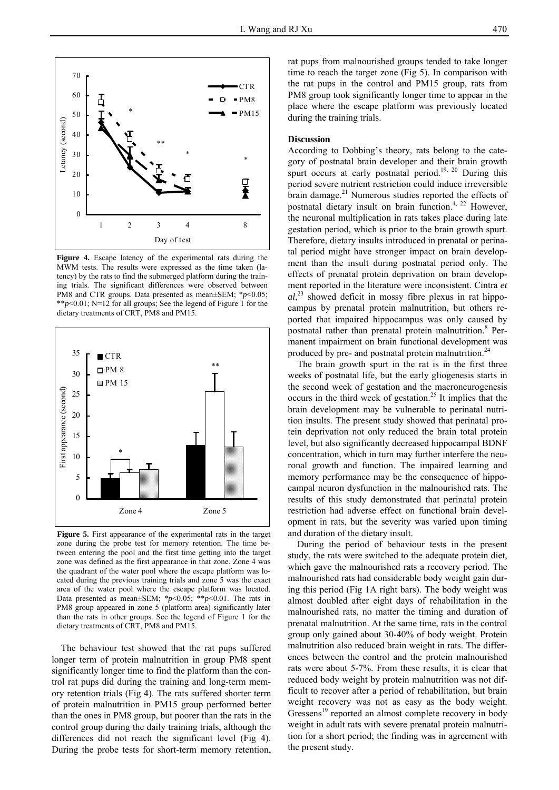

**Figure 4.** Escape latency of the experimental rats during the MWM tests. The results were expressed as the time taken (latency) by the rats to find the submerged platform during the training trials. The significant differences were observed between PM8 and CTR groups. Data presented as mean±SEM; \**p*<0.05; \*\**p*<0.01; N=12 for all groups; See the legend of Figure 1 for the dietary treatments of CRT, PM8 and PM15.



**Figure 5.** First appearance of the experimental rats in the target zone during the probe test for memory retention. The time between entering the pool and the first time getting into the target zone was defined as the first appearance in that zone. Zone 4 was the quadrant of the water pool where the escape platform was located during the previous training trials and zone 5 was the exact area of the water pool where the escape platform was located. Data presented as mean $\pm$ SEM; \* $p$ <0.05; \*\* $p$ <0.01. The rats in PM8 group appeared in zone 5 (platform area) significantly later than the rats in other groups. See the legend of Figure 1 for the dietary treatments of CRT, PM8 and PM15.

 The behaviour test showed that the rat pups suffered longer term of protein malnutrition in group PM8 spent significantly longer time to find the platform than the control rat pups did during the training and long-term memory retention trials (Fig 4). The rats suffered shorter term of protein malnutrition in PM15 group performed better than the ones in PM8 group, but poorer than the rats in the control group during the daily training trials, although the differences did not reach the significant level (Fig 4). During the probe tests for short-term memory retention,

rat pups from malnourished groups tended to take longer time to reach the target zone (Fig 5). In comparison with the rat pups in the control and PM15 group, rats from PM8 group took significantly longer time to appear in the place where the escape platform was previously located during the training trials.

#### **Discussion**

According to Dobbing's theory, rats belong to the category of postnatal brain developer and their brain growth spurt occurs at early postnatal period.<sup>19, 20</sup> During this period severe nutrient restriction could induce irreversible brain damage.<sup>21</sup> Numerous studies reported the effects of postnatal dietary insult on brain function.<sup>4, 22</sup> However, the neuronal multiplication in rats takes place during late gestation period, which is prior to the brain growth spurt. Therefore, dietary insults introduced in prenatal or perinatal period might have stronger impact on brain development than the insult during postnatal period only. The effects of prenatal protein deprivation on brain development reported in the literature were inconsistent. Cintra *et*   $al$ <sup>23</sup>, showed deficit in mossy fibre plexus in rat hippocampus by prenatal protein malnutrition, but others reported that impaired hippocampus was only caused by postnatal rather than prenatal protein malnutrition.<sup>8</sup> Permanent impairment on brain functional development was produced by pre- and postnatal protein malnutrition.<sup>24</sup>

 The brain growth spurt in the rat is in the first three weeks of postnatal life, but the early gliogenesis starts in the second week of gestation and the macroneurogenesis occurs in the third week of gestation.25 It implies that the brain development may be vulnerable to perinatal nutrition insults. The present study showed that perinatal protein deprivation not only reduced the brain total protein level, but also significantly decreased hippocampal BDNF concentration, which in turn may further interfere the neuronal growth and function. The impaired learning and memory performance may be the consequence of hippocampal neuron dysfunction in the malnourished rats. The results of this study demonstrated that perinatal protein restriction had adverse effect on functional brain development in rats, but the severity was varied upon timing and duration of the dietary insult.

 During the period of behaviour tests in the present study, the rats were switched to the adequate protein diet, which gave the malnourished rats a recovery period. The malnourished rats had considerable body weight gain during this period (Fig 1A right bars). The body weight was almost doubled after eight days of rehabilitation in the malnourished rats, no matter the timing and duration of prenatal malnutrition. At the same time, rats in the control group only gained about 30-40% of body weight. Protein malnutrition also reduced brain weight in rats. The differences between the control and the protein malnourished rats were about 5-7%. From these results, it is clear that reduced body weight by protein malnutrition was not difficult to recover after a period of rehabilitation, but brain weight recovery was not as easy as the body weight. Gressens<sup>19</sup> reported an almost complete recovery in body weight in adult rats with severe prenatal protein malnutrition for a short period; the finding was in agreement with the present study.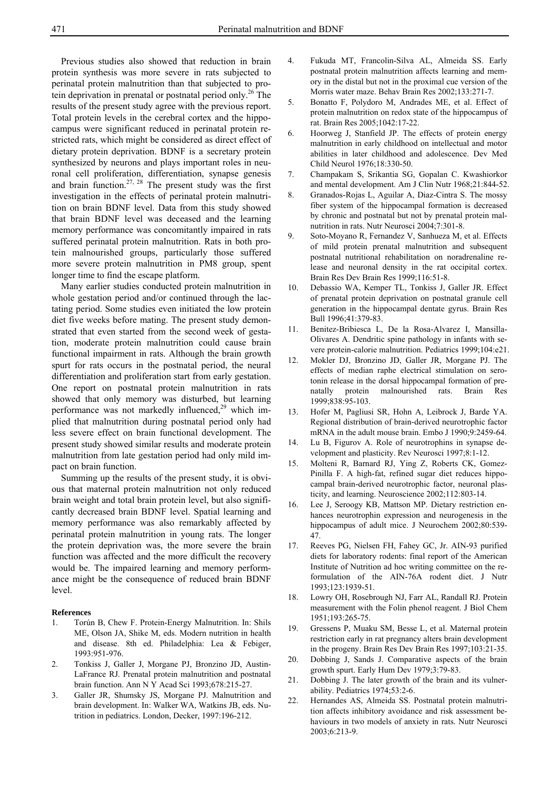Previous studies also showed that reduction in brain protein synthesis was more severe in rats subjected to perinatal protein malnutrition than that subjected to protein deprivation in prenatal or postnatal period only.<sup>26</sup> The results of the present study agree with the previous report. Total protein levels in the cerebral cortex and the hippocampus were significant reduced in perinatal protein restricted rats, which might be considered as direct effect of dietary protein deprivation. BDNF is a secretary protein synthesized by neurons and plays important roles in neuronal cell proliferation, differentiation, synapse genesis and brain function.<sup>27, 28</sup> The present study was the first investigation in the effects of perinatal protein malnutrition on brain BDNF level. Data from this study showed that brain BDNF level was deceased and the learning memory performance was concomitantly impaired in rats suffered perinatal protein malnutrition. Rats in both protein malnourished groups, particularly those suffered more severe protein malnutrition in PM8 group, spent longer time to find the escape platform.

 Many earlier studies conducted protein malnutrition in whole gestation period and/or continued through the lactating period. Some studies even initiated the low protein diet five weeks before mating. The present study demonstrated that even started from the second week of gestation, moderate protein malnutrition could cause brain functional impairment in rats. Although the brain growth spurt for rats occurs in the postnatal period, the neural differentiation and proliferation start from early gestation. One report on postnatal protein malnutrition in rats showed that only memory was disturbed, but learning performance was not markedly influenced, $29$  which implied that malnutrition during postnatal period only had less severe effect on brain functional development. The present study showed similar results and moderate protein malnutrition from late gestation period had only mild impact on brain function.

 Summing up the results of the present study, it is obvious that maternal protein malnutrition not only reduced brain weight and total brain protein level, but also significantly decreased brain BDNF level. Spatial learning and memory performance was also remarkably affected by perinatal protein malnutrition in young rats. The longer the protein deprivation was, the more severe the brain function was affected and the more difficult the recovery would be. The impaired learning and memory performance might be the consequence of reduced brain BDNF level.

#### **References**

- 1. Torún B, Chew F. Protein-Energy Malnutrition. In: Shils ME, Olson JA, Shike M, eds. Modern nutrition in health and disease. 8th ed. Philadelphia: Lea & Febiger, 1993:951-976.
- 2. Tonkiss J, Galler J, Morgane PJ, Bronzino JD, Austin-LaFrance RJ. Prenatal protein malnutrition and postnatal brain function. Ann N Y Acad Sci 1993;678:215-27.
- 3. Galler JR, Shumsky JS, Morgane PJ. Malnutrition and brain development. In: Walker WA, Watkins JB, eds. Nutrition in pediatrics. London, Decker, 1997:196-212.
- 4. Fukuda MT, Francolin-Silva AL, Almeida SS. Early postnatal protein malnutrition affects learning and memory in the distal but not in the proximal cue version of the Morris water maze. Behav Brain Res 2002;133:271-7.
- 5. Bonatto F, Polydoro M, Andrades ME, et al. Effect of protein malnutrition on redox state of the hippocampus of rat. Brain Res 2005;1042:17-22.
- 6. Hoorweg J, Stanfield JP. The effects of protein energy malnutrition in early childhood on intellectual and motor abilities in later childhood and adolescence. Dev Med Child Neurol 1976;18:330-50.
- 7. Champakam S, Srikantia SG, Gopalan C. Kwashiorkor and mental development. Am J Clin Nutr 1968;21:844-52.
- 8. Granados-Rojas L, Aguilar A, Diaz-Cintra S. The mossy fiber system of the hippocampal formation is decreased by chronic and postnatal but not by prenatal protein malnutrition in rats. Nutr Neurosci 2004;7:301-8.
- 9. Soto-Moyano R, Fernandez V, Sanhueza M, et al. Effects of mild protein prenatal malnutrition and subsequent postnatal nutritional rehabilitation on noradrenaline release and neuronal density in the rat occipital cortex. Brain Res Dev Brain Res 1999;116:51-8.
- 10. Debassio WA, Kemper TL, Tonkiss J, Galler JR. Effect of prenatal protein deprivation on postnatal granule cell generation in the hippocampal dentate gyrus. Brain Res Bull 1996;41:379-83.
- 11. Benitez-Bribiesca L, De la Rosa-Alvarez I, Mansilla-Olivares A. Dendritic spine pathology in infants with severe protein-calorie malnutrition. Pediatrics 1999;104:e21.
- 12. Mokler DJ, Bronzino JD, Galler JR, Morgane PJ. The effects of median raphe electrical stimulation on serotonin release in the dorsal hippocampal formation of prenatally protein malnourished rats. Brain Res 1999;838:95-103.
- 13. Hofer M, Pagliusi SR, Hohn A, Leibrock J, Barde YA. Regional distribution of brain-derived neurotrophic factor mRNA in the adult mouse brain. Embo J 1990;9:2459-64.
- 14. Lu B, Figurov A. Role of neurotrophins in synapse development and plasticity. Rev Neurosci 1997;8:1-12.
- 15. Molteni R, Barnard RJ, Ying Z, Roberts CK, Gomez-Pinilla F. A high-fat, refined sugar diet reduces hippocampal brain-derived neurotrophic factor, neuronal plasticity, and learning. Neuroscience 2002;112:803-14.
- 16. Lee J, Seroogy KB, Mattson MP. Dietary restriction enhances neurotrophin expression and neurogenesis in the hippocampus of adult mice. J Neurochem 2002;80:539-47.
- 17. Reeves PG, Nielsen FH, Fahey GC, Jr. AIN-93 purified diets for laboratory rodents: final report of the American Institute of Nutrition ad hoc writing committee on the reformulation of the AIN-76A rodent diet. J Nutr 1993;123:1939-51.
- 18. Lowry OH, Rosebrough NJ, Farr AL, Randall RJ. Protein measurement with the Folin phenol reagent. J Biol Chem 1951;193:265-75.
- 19. Gressens P, Muaku SM, Besse L, et al. Maternal protein restriction early in rat pregnancy alters brain development in the progeny. Brain Res Dev Brain Res 1997;103:21-35.
- 20. Dobbing J, Sands J. Comparative aspects of the brain growth spurt. Early Hum Dev 1979;3:79-83.
- 21. Dobbing J. The later growth of the brain and its vulnerability. Pediatrics 1974;53:2-6.
- 22. Hernandes AS, Almeida SS. Postnatal protein malnutrition affects inhibitory avoidance and risk assessment behaviours in two models of anxiety in rats. Nutr Neurosci 2003;6:213-9.